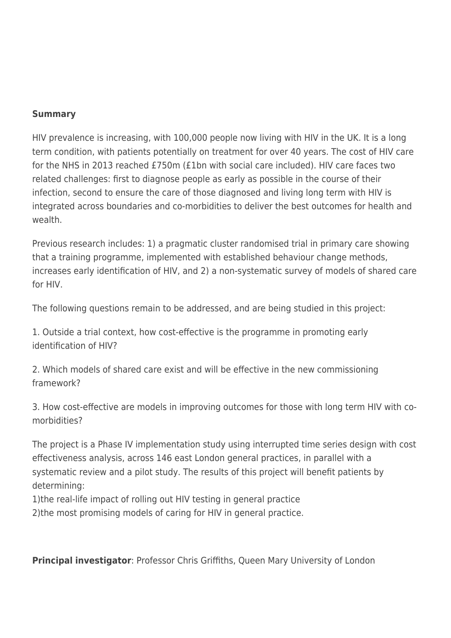## **Summary**

HIV prevalence is increasing, with 100,000 people now living with HIV in the UK. It is a long term condition, with patients potentially on treatment for over 40 years. The cost of HIV care for the NHS in 2013 reached £750m (£1bn with social care included). HIV care faces two related challenges: first to diagnose people as early as possible in the course of their infection, second to ensure the care of those diagnosed and living long term with HIV is integrated across boundaries and co-morbidities to deliver the best outcomes for health and wealth.

Previous research includes: 1) a pragmatic cluster randomised trial in primary care showing that a training programme, implemented with established behaviour change methods, increases early identification of HIV, and 2) a non-systematic survey of models of shared care for HIV.

The following questions remain to be addressed, and are being studied in this project:

1. Outside a trial context, how cost-effective is the programme in promoting early identification of HIV?

2. Which models of shared care exist and will be effective in the new commissioning framework?

3. How cost-effective are models in improving outcomes for those with long term HIV with comorbidities?

The project is a Phase IV implementation study using interrupted time series design with cost effectiveness analysis, across 146 east London general practices, in parallel with a systematic review and a pilot study. The results of this project will benefit patients by determining:

1)the real-life impact of rolling out HIV testing in general practice

2)the most promising models of caring for HIV in general practice.

**Principal investigator**: Professor Chris Griffiths, Queen Mary University of London